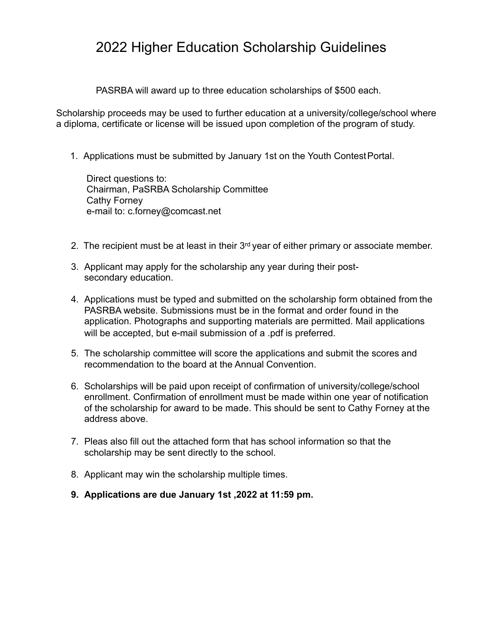## 2022 Higher Education Scholarship Guidelines

PASRBA will award up to three education scholarships of \$500 each.

Scholarship proceeds may be used to further education at a university/college/school where a diploma, certificate or license will be issued upon completion of the program of study.

1. Applications must be submitted by January 1st on the Youth ContestPortal.

Direct questions to: Chairman, PaSRBA Scholarship Committee Cathy Forney e-mail to[: c.forney@comcast.net](mailto:c.forney@comcast.net)

- 2. The recipient must be at least in their  $3<sup>rd</sup>$  year of either primary or associate member.
- 3. Applicant may apply for the scholarship any year during their postsecondary education.
- 4. Applications must be typed and submitted on the scholarship form obtained from the PASRBA website. Submissions must be in the format and order found in the application. Photographs and supporting materials are permitted. Mail applications will be accepted, but e-mail submission of a .pdf is preferred.
- 5. The scholarship committee will score the applications and submit the scores and recommendation to the board at the Annual Convention.
- 6. Scholarships will be paid upon receipt of confirmation of university/college/school enrollment. Confirmation of enrollment must be made within one year of notification of the scholarship for award to be made. This should be sent to Cathy Forney at the address above.
- 7. Pleas also fill out the attached form that has school information so that the scholarship may be sent directly to the school.
- 8. Applicant may win the scholarship multiple times.
- **9. Applications are due January 1st ,2022 at 11:59 pm.**